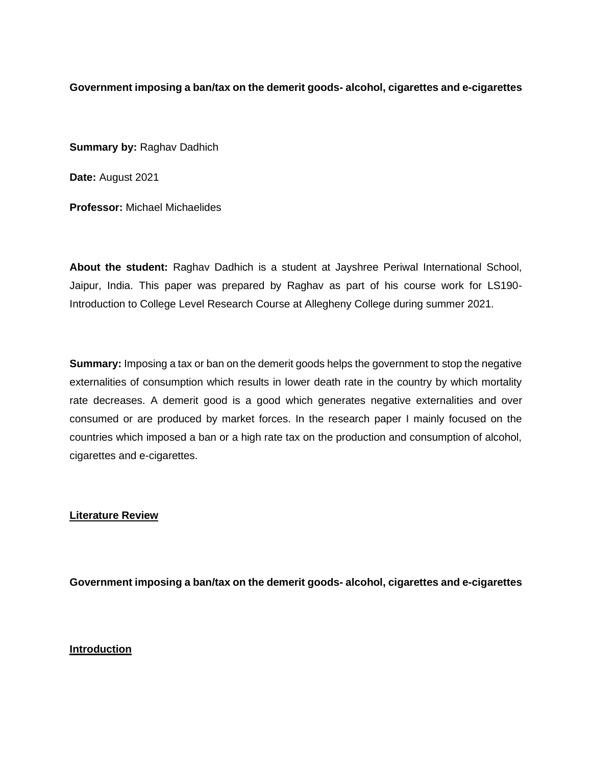**Government imposing a ban/tax on the demerit goods- alcohol, cigarettes and e-cigarettes**

**Summary by:** Raghav Dadhich

**Date:** August 2021

**Professor:** Michael Michaelides

**About the student:** Raghav Dadhich is a student at Jayshree Periwal International School, Jaipur, India. This paper was prepared by Raghav as part of his course work for LS190- Introduction to College Level Research Course at Allegheny College during summer 2021.

**Summary:** Imposing a tax or ban on the demerit goods helps the government to stop the negative externalities of consumption which results in lower death rate in the country by which mortality rate decreases. A demerit good is a good which generates negative externalities and over consumed or are produced by market forces. In the research paper I mainly focused on the countries which imposed a ban or a high rate tax on the production and consumption of alcohol, cigarettes and e-cigarettes.

# **Literature Review**

**Government imposing a ban/tax on the demerit goods- alcohol, cigarettes and e-cigarettes**

# **Introduction**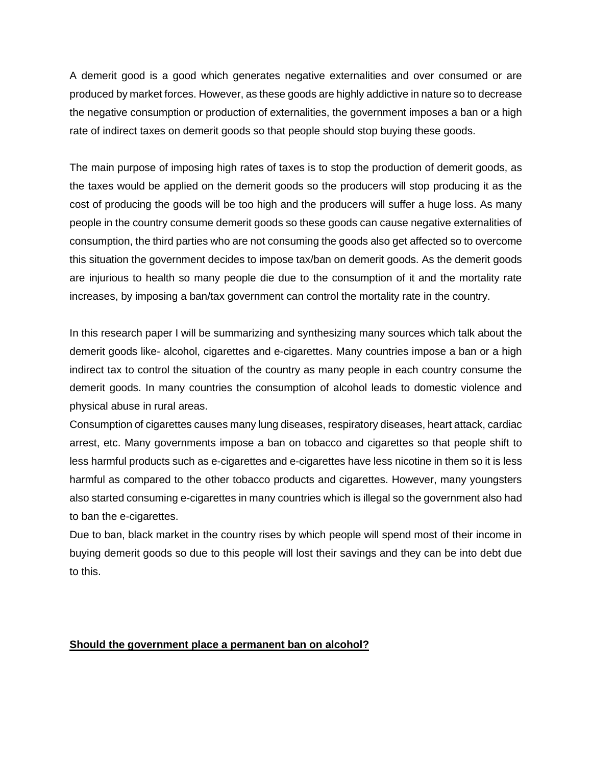A demerit good is a good which generates negative externalities and over consumed or are produced by market forces. However, as these goods are highly addictive in nature so to decrease the negative consumption or production of externalities, the government imposes a ban or a high rate of indirect taxes on demerit goods so that people should stop buying these goods.

The main purpose of imposing high rates of taxes is to stop the production of demerit goods, as the taxes would be applied on the demerit goods so the producers will stop producing it as the cost of producing the goods will be too high and the producers will suffer a huge loss. As many people in the country consume demerit goods so these goods can cause negative externalities of consumption, the third parties who are not consuming the goods also get affected so to overcome this situation the government decides to impose tax/ban on demerit goods. As the demerit goods are injurious to health so many people die due to the consumption of it and the mortality rate increases, by imposing a ban/tax government can control the mortality rate in the country.

In this research paper I will be summarizing and synthesizing many sources which talk about the demerit goods like- alcohol, cigarettes and e-cigarettes. Many countries impose a ban or a high indirect tax to control the situation of the country as many people in each country consume the demerit goods. In many countries the consumption of alcohol leads to domestic violence and physical abuse in rural areas.

Consumption of cigarettes causes many lung diseases, respiratory diseases, heart attack, cardiac arrest, etc. Many governments impose a ban on tobacco and cigarettes so that people shift to less harmful products such as e-cigarettes and e-cigarettes have less nicotine in them so it is less harmful as compared to the other tobacco products and cigarettes. However, many youngsters also started consuming e-cigarettes in many countries which is illegal so the government also had to ban the e-cigarettes.

Due to ban, black market in the country rises by which people will spend most of their income in buying demerit goods so due to this people will lost their savings and they can be into debt due to this.

# **Should the government place a permanent ban on alcohol?**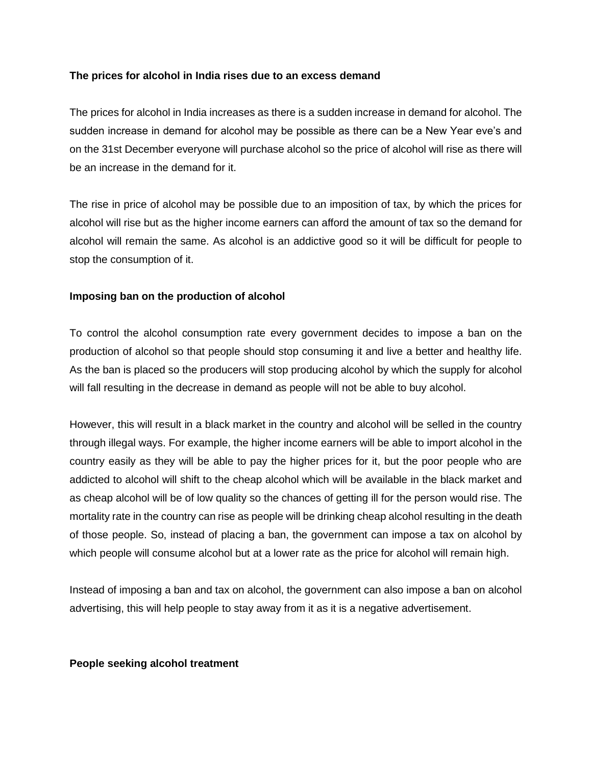## **The prices for alcohol in India rises due to an excess demand**

The prices for alcohol in India increases as there is a sudden increase in demand for alcohol. The sudden increase in demand for alcohol may be possible as there can be a New Year eve's and on the 31st December everyone will purchase alcohol so the price of alcohol will rise as there will be an increase in the demand for it.

The rise in price of alcohol may be possible due to an imposition of tax, by which the prices for alcohol will rise but as the higher income earners can afford the amount of tax so the demand for alcohol will remain the same. As alcohol is an addictive good so it will be difficult for people to stop the consumption of it.

# **Imposing ban on the production of alcohol**

To control the alcohol consumption rate every government decides to impose a ban on the production of alcohol so that people should stop consuming it and live a better and healthy life. As the ban is placed so the producers will stop producing alcohol by which the supply for alcohol will fall resulting in the decrease in demand as people will not be able to buy alcohol.

However, this will result in a black market in the country and alcohol will be selled in the country through illegal ways. For example, the higher income earners will be able to import alcohol in the country easily as they will be able to pay the higher prices for it, but the poor people who are addicted to alcohol will shift to the cheap alcohol which will be available in the black market and as cheap alcohol will be of low quality so the chances of getting ill for the person would rise. The mortality rate in the country can rise as people will be drinking cheap alcohol resulting in the death of those people. So, instead of placing a ban, the government can impose a tax on alcohol by which people will consume alcohol but at a lower rate as the price for alcohol will remain high.

Instead of imposing a ban and tax on alcohol, the government can also impose a ban on alcohol advertising, this will help people to stay away from it as it is a negative advertisement.

## **People seeking alcohol treatment**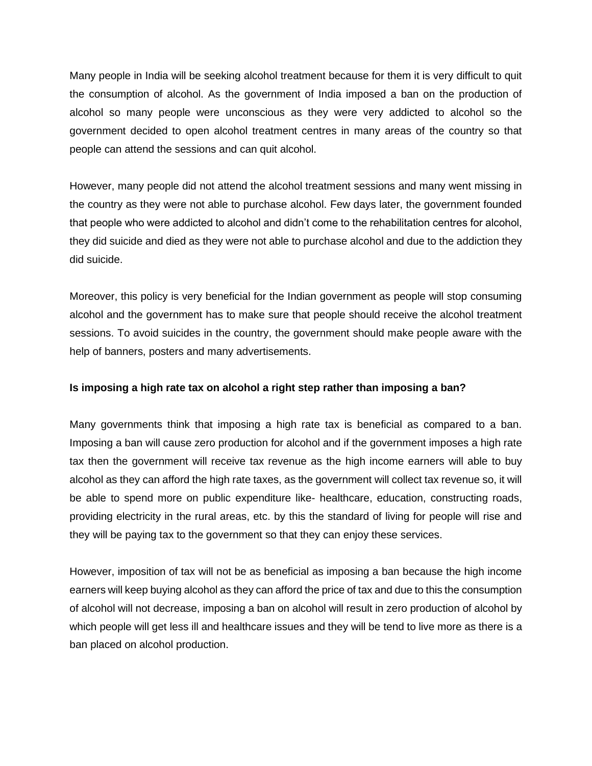Many people in India will be seeking alcohol treatment because for them it is very difficult to quit the consumption of alcohol. As the government of India imposed a ban on the production of alcohol so many people were unconscious as they were very addicted to alcohol so the government decided to open alcohol treatment centres in many areas of the country so that people can attend the sessions and can quit alcohol.

However, many people did not attend the alcohol treatment sessions and many went missing in the country as they were not able to purchase alcohol. Few days later, the government founded that people who were addicted to alcohol and didn't come to the rehabilitation centres for alcohol, they did suicide and died as they were not able to purchase alcohol and due to the addiction they did suicide.

Moreover, this policy is very beneficial for the Indian government as people will stop consuming alcohol and the government has to make sure that people should receive the alcohol treatment sessions. To avoid suicides in the country, the government should make people aware with the help of banners, posters and many advertisements.

## **Is imposing a high rate tax on alcohol a right step rather than imposing a ban?**

Many governments think that imposing a high rate tax is beneficial as compared to a ban. Imposing a ban will cause zero production for alcohol and if the government imposes a high rate tax then the government will receive tax revenue as the high income earners will able to buy alcohol as they can afford the high rate taxes, as the government will collect tax revenue so, it will be able to spend more on public expenditure like- healthcare, education, constructing roads, providing electricity in the rural areas, etc. by this the standard of living for people will rise and they will be paying tax to the government so that they can enjoy these services.

However, imposition of tax will not be as beneficial as imposing a ban because the high income earners will keep buying alcohol as they can afford the price of tax and due to this the consumption of alcohol will not decrease, imposing a ban on alcohol will result in zero production of alcohol by which people will get less ill and healthcare issues and they will be tend to live more as there is a ban placed on alcohol production.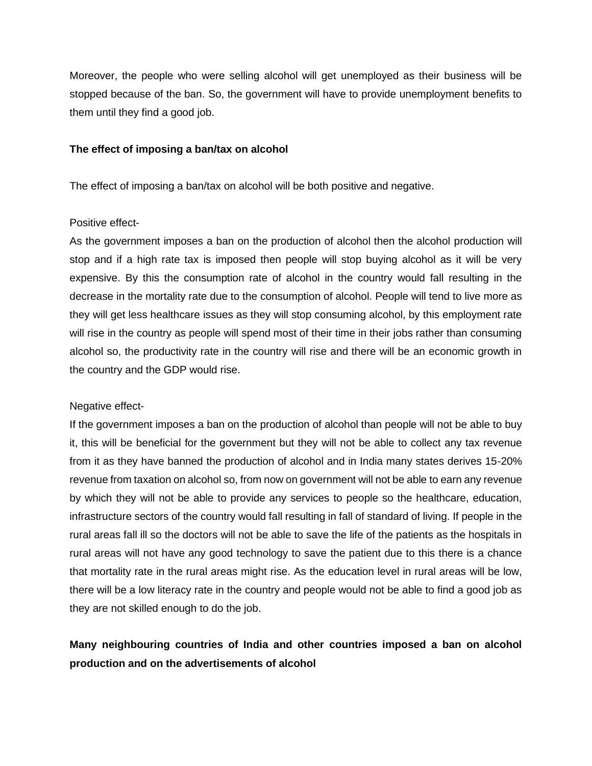Moreover, the people who were selling alcohol will get unemployed as their business will be stopped because of the ban. So, the government will have to provide unemployment benefits to them until they find a good job.

#### **The effect of imposing a ban/tax on alcohol**

The effect of imposing a ban/tax on alcohol will be both positive and negative.

## Positive effect-

As the government imposes a ban on the production of alcohol then the alcohol production will stop and if a high rate tax is imposed then people will stop buying alcohol as it will be very expensive. By this the consumption rate of alcohol in the country would fall resulting in the decrease in the mortality rate due to the consumption of alcohol. People will tend to live more as they will get less healthcare issues as they will stop consuming alcohol, by this employment rate will rise in the country as people will spend most of their time in their jobs rather than consuming alcohol so, the productivity rate in the country will rise and there will be an economic growth in the country and the GDP would rise.

## Negative effect-

If the government imposes a ban on the production of alcohol than people will not be able to buy it, this will be beneficial for the government but they will not be able to collect any tax revenue from it as they have banned the production of alcohol and in India many states derives 15-20% revenue from taxation on alcohol so, from now on government will not be able to earn any revenue by which they will not be able to provide any services to people so the healthcare, education, infrastructure sectors of the country would fall resulting in fall of standard of living. If people in the rural areas fall ill so the doctors will not be able to save the life of the patients as the hospitals in rural areas will not have any good technology to save the patient due to this there is a chance that mortality rate in the rural areas might rise. As the education level in rural areas will be low, there will be a low literacy rate in the country and people would not be able to find a good job as they are not skilled enough to do the job.

# **Many neighbouring countries of India and other countries imposed a ban on alcohol production and on the advertisements of alcohol**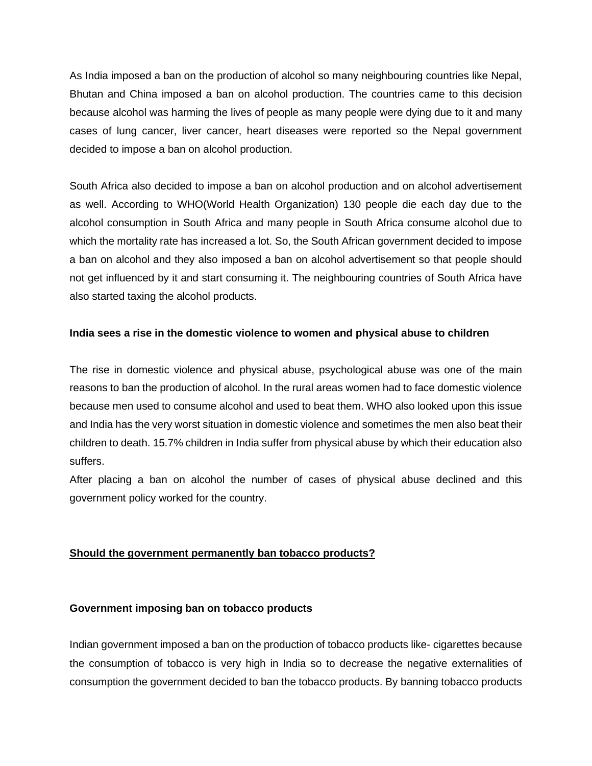As India imposed a ban on the production of alcohol so many neighbouring countries like Nepal, Bhutan and China imposed a ban on alcohol production. The countries came to this decision because alcohol was harming the lives of people as many people were dying due to it and many cases of lung cancer, liver cancer, heart diseases were reported so the Nepal government decided to impose a ban on alcohol production.

South Africa also decided to impose a ban on alcohol production and on alcohol advertisement as well. According to WHO(World Health Organization) 130 people die each day due to the alcohol consumption in South Africa and many people in South Africa consume alcohol due to which the mortality rate has increased a lot. So, the South African government decided to impose a ban on alcohol and they also imposed a ban on alcohol advertisement so that people should not get influenced by it and start consuming it. The neighbouring countries of South Africa have also started taxing the alcohol products.

# **India sees a rise in the domestic violence to women and physical abuse to children**

The rise in domestic violence and physical abuse, psychological abuse was one of the main reasons to ban the production of alcohol. In the rural areas women had to face domestic violence because men used to consume alcohol and used to beat them. WHO also looked upon this issue and India has the very worst situation in domestic violence and sometimes the men also beat their children to death. 15.7% children in India suffer from physical abuse by which their education also suffers.

After placing a ban on alcohol the number of cases of physical abuse declined and this government policy worked for the country.

# **Should the government permanently ban tobacco products?**

## **Government imposing ban on tobacco products**

Indian government imposed a ban on the production of tobacco products like- cigarettes because the consumption of tobacco is very high in India so to decrease the negative externalities of consumption the government decided to ban the tobacco products. By banning tobacco products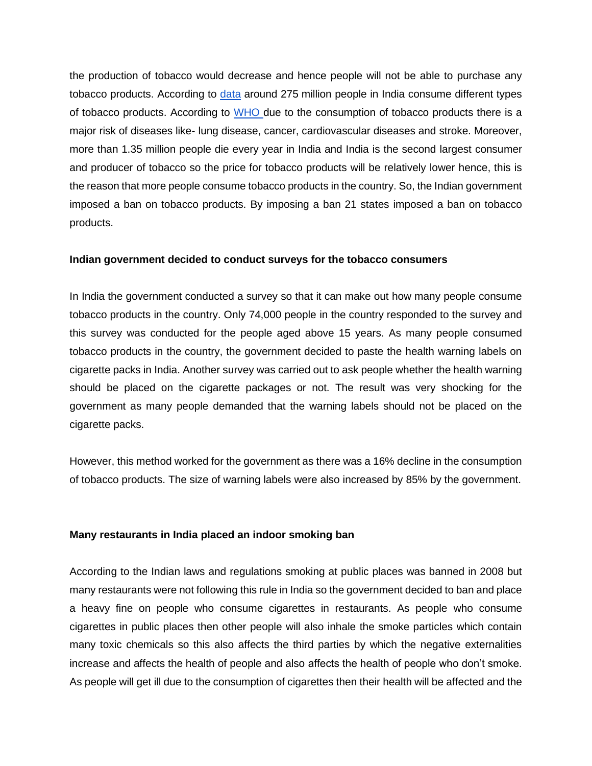the production of tobacco would decrease and hence people will not be able to purchase any tobacco products. According to [data](https://www.ijph.in/article.asp?issn=0019-557X;year=2011;volume=55;issue=3;spage=220;epage=227;aulast=Kaur) around 275 million people in India consume different types of tobacco products. According to [WHO d](https://www.who.int/india/health-topics/tobacco#:~:text=Tobacco%20use%20is%20a%20major,1.35%20million%20deaths%20every%20year.)ue to the consumption of tobacco products there is a major risk of diseases like- lung disease, cancer, cardiovascular diseases and stroke. Moreover, more than 1.35 million people die every year in India and India is the second largest consumer and producer of tobacco so the price for tobacco products will be relatively lower hence, this is the reason that more people consume tobacco products in the country. So, the Indian government imposed a ban on tobacco products. By imposing a ban 21 states imposed a ban on tobacco products.

#### **Indian government decided to conduct surveys for the tobacco consumers**

In India the government conducted a survey so that it can make out how many people consume tobacco products in the country. Only 74,000 people in the country responded to the survey and this survey was conducted for the people aged above 15 years. As many people consumed tobacco products in the country, the government decided to paste the health warning labels on cigarette packs in India. Another survey was carried out to ask people whether the health warning should be placed on the cigarette packages or not. The result was very shocking for the government as many people demanded that the warning labels should not be placed on the cigarette packs.

However, this method worked for the government as there was a 16% decline in the consumption of tobacco products. The size of warning labels were also increased by 85% by the government.

#### **Many restaurants in India placed an indoor smoking ban**

According to the Indian laws and regulations smoking at public places was banned in 2008 but many restaurants were not following this rule in India so the government decided to ban and place a heavy fine on people who consume cigarettes in restaurants. As people who consume cigarettes in public places then other people will also inhale the smoke particles which contain many toxic chemicals so this also affects the third parties by which the negative externalities increase and affects the health of people and also affects the health of people who don't smoke. As people will get ill due to the consumption of cigarettes then their health will be affected and the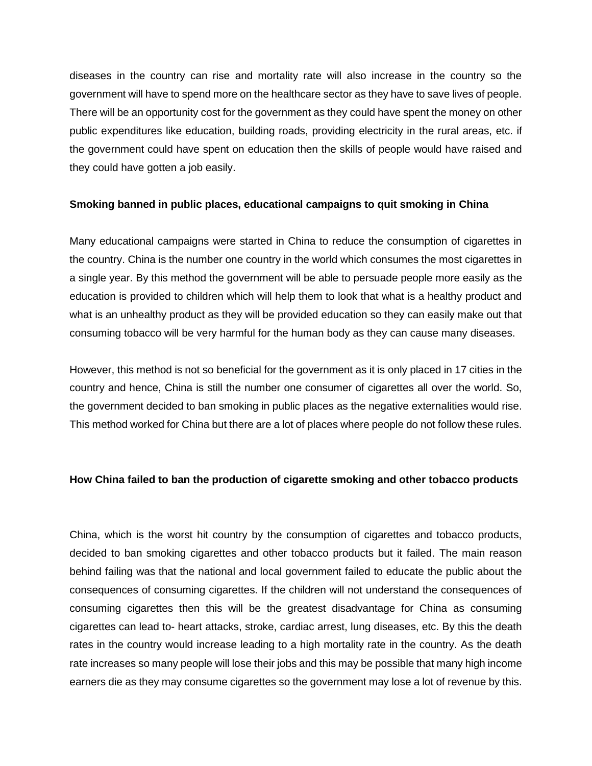diseases in the country can rise and mortality rate will also increase in the country so the government will have to spend more on the healthcare sector as they have to save lives of people. There will be an opportunity cost for the government as they could have spent the money on other public expenditures like education, building roads, providing electricity in the rural areas, etc. if the government could have spent on education then the skills of people would have raised and they could have gotten a job easily.

## **Smoking banned in public places, educational campaigns to quit smoking in China**

Many educational campaigns were started in China to reduce the consumption of cigarettes in the country. China is the number one country in the world which consumes the most cigarettes in a single year. By this method the government will be able to persuade people more easily as the education is provided to children which will help them to look that what is a healthy product and what is an unhealthy product as they will be provided education so they can easily make out that consuming tobacco will be very harmful for the human body as they can cause many diseases.

However, this method is not so beneficial for the government as it is only placed in 17 cities in the country and hence, China is still the number one consumer of cigarettes all over the world. So, the government decided to ban smoking in public places as the negative externalities would rise. This method worked for China but there are a lot of places where people do not follow these rules.

## **How China failed to ban the production of cigarette smoking and other tobacco products**

China, which is the worst hit country by the consumption of cigarettes and tobacco products, decided to ban smoking cigarettes and other tobacco products but it failed. The main reason behind failing was that the national and local government failed to educate the public about the consequences of consuming cigarettes. If the children will not understand the consequences of consuming cigarettes then this will be the greatest disadvantage for China as consuming cigarettes can lead to- heart attacks, stroke, cardiac arrest, lung diseases, etc. By this the death rates in the country would increase leading to a high mortality rate in the country. As the death rate increases so many people will lose their jobs and this may be possible that many high income earners die as they may consume cigarettes so the government may lose a lot of revenue by this.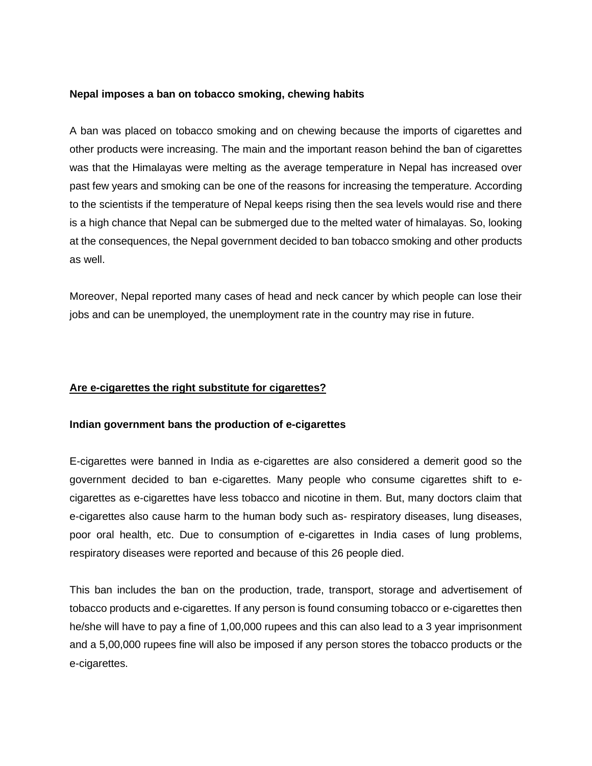## **Nepal imposes a ban on tobacco smoking, chewing habits**

A ban was placed on tobacco smoking and on chewing because the imports of cigarettes and other products were increasing. The main and the important reason behind the ban of cigarettes was that the Himalayas were melting as the average temperature in Nepal has increased over past few years and smoking can be one of the reasons for increasing the temperature. According to the scientists if the temperature of Nepal keeps rising then the sea levels would rise and there is a high chance that Nepal can be submerged due to the melted water of himalayas. So, looking at the consequences, the Nepal government decided to ban tobacco smoking and other products as well.

Moreover, Nepal reported many cases of head and neck cancer by which people can lose their jobs and can be unemployed, the unemployment rate in the country may rise in future.

## **Are e-cigarettes the right substitute for cigarettes?**

## **Indian government bans the production of e-cigarettes**

E-cigarettes were banned in India as e-cigarettes are also considered a demerit good so the government decided to ban e-cigarettes. Many people who consume cigarettes shift to ecigarettes as e-cigarettes have less tobacco and nicotine in them. But, many doctors claim that e-cigarettes also cause harm to the human body such as- respiratory diseases, lung diseases, poor oral health, etc. Due to consumption of e-cigarettes in India cases of lung problems, respiratory diseases were reported and because of this 26 people died.

This ban includes the ban on the production, trade, transport, storage and advertisement of tobacco products and e-cigarettes. If any person is found consuming tobacco or e-cigarettes then he/she will have to pay a fine of 1,00,000 rupees and this can also lead to a 3 year imprisonment and a 5,00,000 rupees fine will also be imposed if any person stores the tobacco products or the e-cigarettes.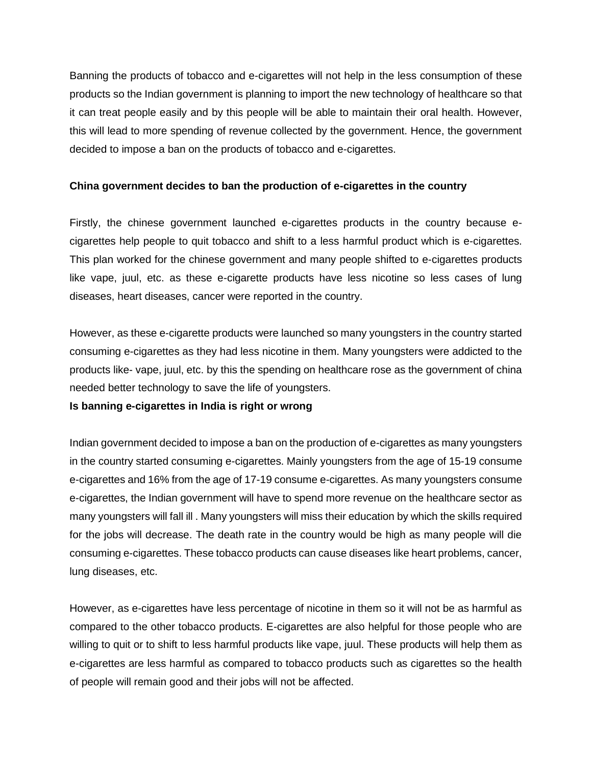Banning the products of tobacco and e-cigarettes will not help in the less consumption of these products so the Indian government is planning to import the new technology of healthcare so that it can treat people easily and by this people will be able to maintain their oral health. However, this will lead to more spending of revenue collected by the government. Hence, the government decided to impose a ban on the products of tobacco and e-cigarettes.

# **China government decides to ban the production of e-cigarettes in the country**

Firstly, the chinese government launched e-cigarettes products in the country because ecigarettes help people to quit tobacco and shift to a less harmful product which is e-cigarettes. This plan worked for the chinese government and many people shifted to e-cigarettes products like vape, juul, etc. as these e-cigarette products have less nicotine so less cases of lung diseases, heart diseases, cancer were reported in the country.

However, as these e-cigarette products were launched so many youngsters in the country started consuming e-cigarettes as they had less nicotine in them. Many youngsters were addicted to the products like- vape, juul, etc. by this the spending on healthcare rose as the government of china needed better technology to save the life of youngsters.

# **Is banning e-cigarettes in India is right or wrong**

Indian government decided to impose a ban on the production of e-cigarettes as many youngsters in the country started consuming e-cigarettes. Mainly youngsters from the age of 15-19 consume e-cigarettes and 16% from the age of 17-19 consume e-cigarettes. As many youngsters consume e-cigarettes, the Indian government will have to spend more revenue on the healthcare sector as many youngsters will fall ill . Many youngsters will miss their education by which the skills required for the jobs will decrease. The death rate in the country would be high as many people will die consuming e-cigarettes. These tobacco products can cause diseases like heart problems, cancer, lung diseases, etc.

However, as e-cigarettes have less percentage of nicotine in them so it will not be as harmful as compared to the other tobacco products. E-cigarettes are also helpful for those people who are willing to quit or to shift to less harmful products like vape, juul. These products will help them as e-cigarettes are less harmful as compared to tobacco products such as cigarettes so the health of people will remain good and their jobs will not be affected.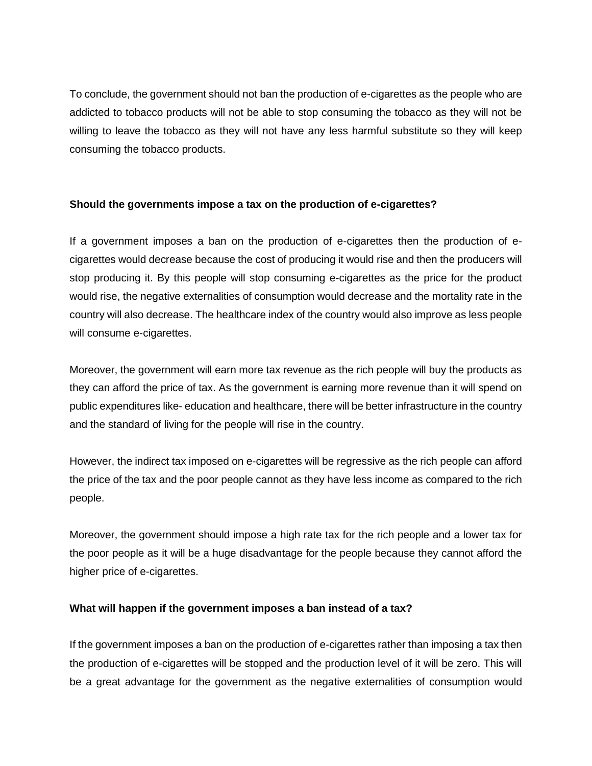To conclude, the government should not ban the production of e-cigarettes as the people who are addicted to tobacco products will not be able to stop consuming the tobacco as they will not be willing to leave the tobacco as they will not have any less harmful substitute so they will keep consuming the tobacco products.

# **Should the governments impose a tax on the production of e-cigarettes?**

If a government imposes a ban on the production of e-cigarettes then the production of ecigarettes would decrease because the cost of producing it would rise and then the producers will stop producing it. By this people will stop consuming e-cigarettes as the price for the product would rise, the negative externalities of consumption would decrease and the mortality rate in the country will also decrease. The healthcare index of the country would also improve as less people will consume e-cigarettes.

Moreover, the government will earn more tax revenue as the rich people will buy the products as they can afford the price of tax. As the government is earning more revenue than it will spend on public expenditures like- education and healthcare, there will be better infrastructure in the country and the standard of living for the people will rise in the country.

However, the indirect tax imposed on e-cigarettes will be regressive as the rich people can afford the price of the tax and the poor people cannot as they have less income as compared to the rich people.

Moreover, the government should impose a high rate tax for the rich people and a lower tax for the poor people as it will be a huge disadvantage for the people because they cannot afford the higher price of e-cigarettes.

# **What will happen if the government imposes a ban instead of a tax?**

If the government imposes a ban on the production of e-cigarettes rather than imposing a tax then the production of e-cigarettes will be stopped and the production level of it will be zero. This will be a great advantage for the government as the negative externalities of consumption would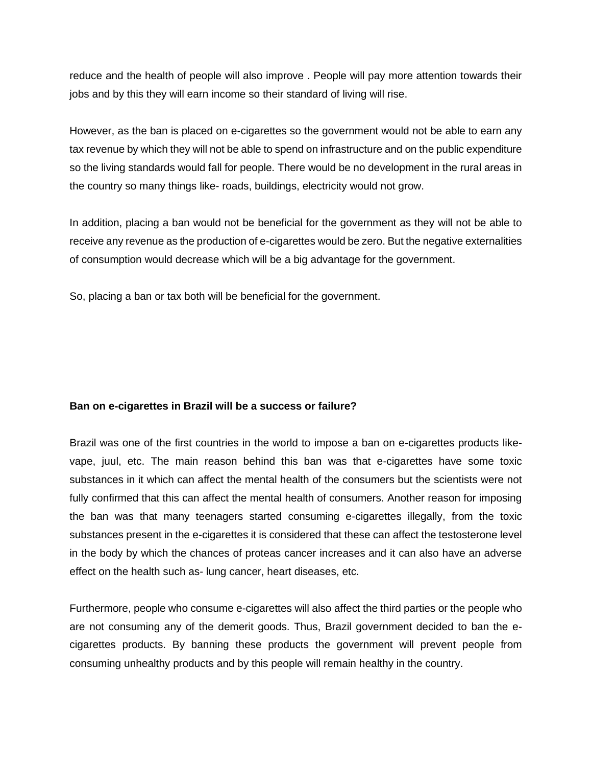reduce and the health of people will also improve . People will pay more attention towards their jobs and by this they will earn income so their standard of living will rise.

However, as the ban is placed on e-cigarettes so the government would not be able to earn any tax revenue by which they will not be able to spend on infrastructure and on the public expenditure so the living standards would fall for people. There would be no development in the rural areas in the country so many things like- roads, buildings, electricity would not grow.

In addition, placing a ban would not be beneficial for the government as they will not be able to receive any revenue as the production of e-cigarettes would be zero. But the negative externalities of consumption would decrease which will be a big advantage for the government.

So, placing a ban or tax both will be beneficial for the government.

# **Ban on e-cigarettes in Brazil will be a success or failure?**

Brazil was one of the first countries in the world to impose a ban on e-cigarettes products likevape, juul, etc. The main reason behind this ban was that e-cigarettes have some toxic substances in it which can affect the mental health of the consumers but the scientists were not fully confirmed that this can affect the mental health of consumers. Another reason for imposing the ban was that many teenagers started consuming e-cigarettes illegally, from the toxic substances present in the e-cigarettes it is considered that these can affect the testosterone level in the body by which the chances of proteas cancer increases and it can also have an adverse effect on the health such as- lung cancer, heart diseases, etc.

Furthermore, people who consume e-cigarettes will also affect the third parties or the people who are not consuming any of the demerit goods. Thus, Brazil government decided to ban the ecigarettes products. By banning these products the government will prevent people from consuming unhealthy products and by this people will remain healthy in the country.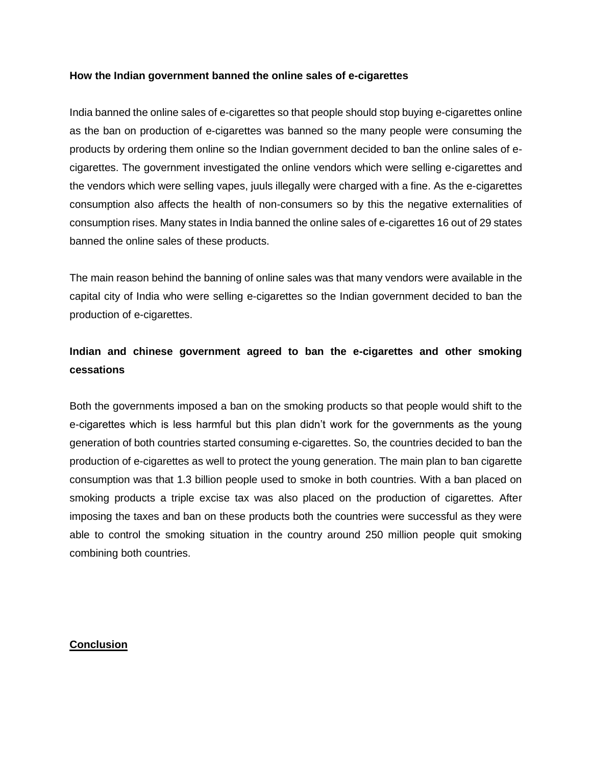## **How the Indian government banned the online sales of e-cigarettes**

India banned the online sales of e-cigarettes so that people should stop buying e-cigarettes online as the ban on production of e-cigarettes was banned so the many people were consuming the products by ordering them online so the Indian government decided to ban the online sales of ecigarettes. The government investigated the online vendors which were selling e-cigarettes and the vendors which were selling vapes, juuls illegally were charged with a fine. As the e-cigarettes consumption also affects the health of non-consumers so by this the negative externalities of consumption rises. Many states in India banned the online sales of e-cigarettes 16 out of 29 states banned the online sales of these products.

The main reason behind the banning of online sales was that many vendors were available in the capital city of India who were selling e-cigarettes so the Indian government decided to ban the production of e-cigarettes.

# **Indian and chinese government agreed to ban the e-cigarettes and other smoking cessations**

Both the governments imposed a ban on the smoking products so that people would shift to the e-cigarettes which is less harmful but this plan didn't work for the governments as the young generation of both countries started consuming e-cigarettes. So, the countries decided to ban the production of e-cigarettes as well to protect the young generation. The main plan to ban cigarette consumption was that 1.3 billion people used to smoke in both countries. With a ban placed on smoking products a triple excise tax was also placed on the production of cigarettes. After imposing the taxes and ban on these products both the countries were successful as they were able to control the smoking situation in the country around 250 million people quit smoking combining both countries.

## **Conclusion**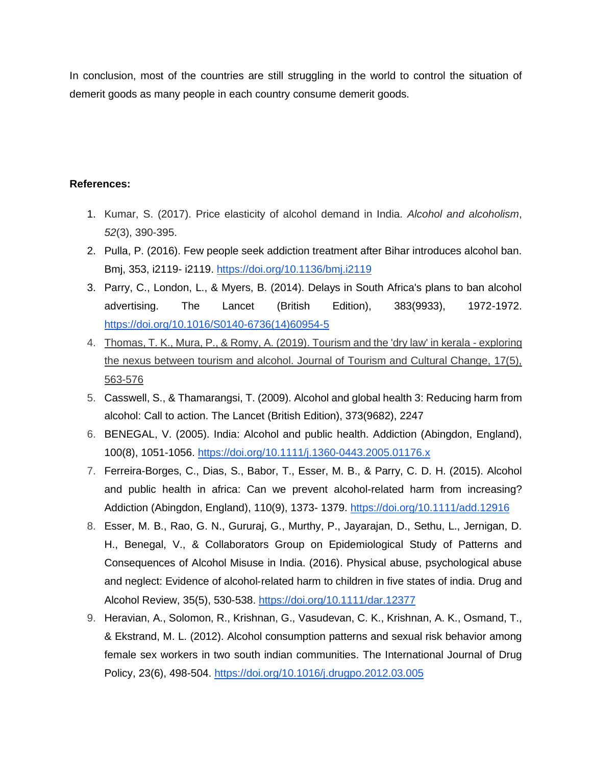In conclusion, most of the countries are still struggling in the world to control the situation of demerit goods as many people in each country consume demerit goods.

# **References:**

- 1. Kumar, S. (2017). Price elasticity of alcohol demand in India. *Alcohol and alcoholism*, *52*(3), 390-395.
- 2. Pulla, P. (2016). Few people seek addiction treatment after Bihar introduces alcohol ban. Bmj, 353, i2119- i2119. https://doi.org/10.1136/bmj.i2119
- 3. Parry, C., London, L., & Myers, B. (2014). Delays in South Africa's plans to ban alcohol advertising. The Lancet (British Edition), 383(9933), 1972-1972. https://doi.org/10.1016/S0140-6736(14)60954-5
- 4. Thomas, T. K., Mura, P., & Romy, A. (2019). Tourism and the 'dry law' in kerala exploring the nexus between tourism and alcohol. Journal of Tourism and Cultural Change, 17(5), 563-576
- 5. Casswell, S., & Thamarangsi, T. (2009). Alcohol and global health 3: Reducing harm from alcohol: Call to action. The Lancet (British Edition), 373(9682), 2247
- 6. BENEGAL, V. (2005). India: Alcohol and public health. Addiction (Abingdon, England), 100(8), 1051-1056. https://doi.org/10.1111/j.1360-0443.2005.01176.x
- 7. Ferreira-Borges, C., Dias, S., Babor, T., Esser, M. B., & Parry, C. D. H. (2015). Alcohol and public health in africa: Can we prevent alcohol-related harm from increasing? Addiction (Abingdon, England), 110(9), 1373- 1379. https://doi.org/10.1111/add.12916
- 8. Esser, M. B., Rao, G. N., Gururaj, G., Murthy, P., Jayarajan, D., Sethu, L., Jernigan, D. H., Benegal, V., & Collaborators Group on Epidemiological Study of Patterns and Consequences of Alcohol Misuse in India. (2016). Physical abuse, psychological abuse and neglect: Evidence of alcohol‐related harm to children in five states of india. Drug and Alcohol Review, 35(5), 530-538. https://doi.org/10.1111/dar.12377
- 9. Heravian, A., Solomon, R., Krishnan, G., Vasudevan, C. K., Krishnan, A. K., Osmand, T., & Ekstrand, M. L. (2012). Alcohol consumption patterns and sexual risk behavior among female sex workers in two south indian communities. The International Journal of Drug Policy, 23(6), 498-504. https://doi.org/10.1016/j.drugpo.2012.03.005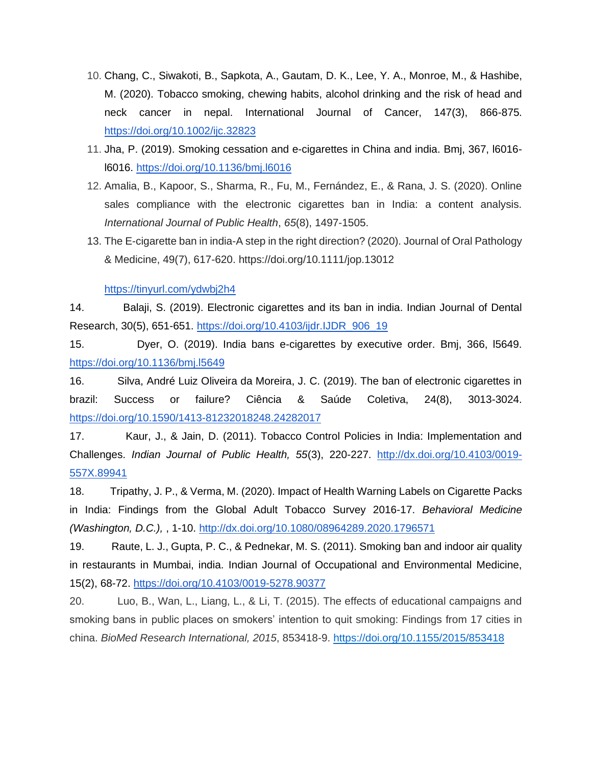- 10. Chang, C., Siwakoti, B., Sapkota, A., Gautam, D. K., Lee, Y. A., Monroe, M., & Hashibe, M. (2020). Tobacco smoking, chewing habits, alcohol drinking and the risk of head and neck cancer in nepal. International Journal of Cancer, 147(3), 866-875. https://doi.org/10.1002/ijc.32823
- 11. Jha, P. (2019). Smoking cessation and e-cigarettes in China and india. Bmj, 367, l6016 l6016. https://doi.org/10.1136/bmj.l6016
- 12. Amalia, B., Kapoor, S., Sharma, R., Fu, M., Fernández, E., & Rana, J. S. (2020). Online sales compliance with the electronic cigarettes ban in India: a content analysis. *International Journal of Public Health*, *65*(8), 1497-1505.
- 13. The E-cigarette ban in india-A step in the right direction? (2020). Journal of Oral Pathology & Medicine, 49(7), 617-620. https://doi.org/10.1111/jop.13012

https://tinyurl.com/ydwbj2h4

14. Balaji, S. (2019). Electronic cigarettes and its ban in india. Indian Journal of Dental Research, 30(5), 651-651. https://doi.org/10.4103/ijdr.IJDR\_906\_19

15. Dyer, O. (2019). India bans e-cigarettes by executive order. Bmj, 366, l5649. https://doi.org/10.1136/bmj.l5649

16. Silva, André Luiz Oliveira da Moreira, J. C. (2019). The ban of electronic cigarettes in brazil: Success or failure? Ciência & Saúde Coletiva, 24(8), 3013-3024. https://doi.org/10.1590/1413-81232018248.24282017

17. Kaur, J., & Jain, D. (2011). Tobacco Control Policies in India: Implementation and Challenges. *Indian Journal of Public Health, 55*(3), 220-227. http://dx.doi.org/10.4103/0019- 557X.89941

18. Tripathy, J. P., & Verma, M. (2020). Impact of Health Warning Labels on Cigarette Packs in India: Findings from the Global Adult Tobacco Survey 2016-17. *Behavioral Medicine (Washington, D.C.),* , 1-10. http://dx.doi.org/10.1080/08964289.2020.1796571

19. Raute, L. J., Gupta, P. C., & Pednekar, M. S. (2011). Smoking ban and indoor air quality in restaurants in Mumbai, india. Indian Journal of Occupational and Environmental Medicine, 15(2), 68-72. https://doi.org/10.4103/0019-5278.90377

20. Luo, B., Wan, L., Liang, L., & Li, T. (2015). The effects of educational campaigns and smoking bans in public places on smokers' intention to quit smoking: Findings from 17 cities in china. *BioMed Research International, 2015*, 853418-9. https://doi.org/10.1155/2015/853418